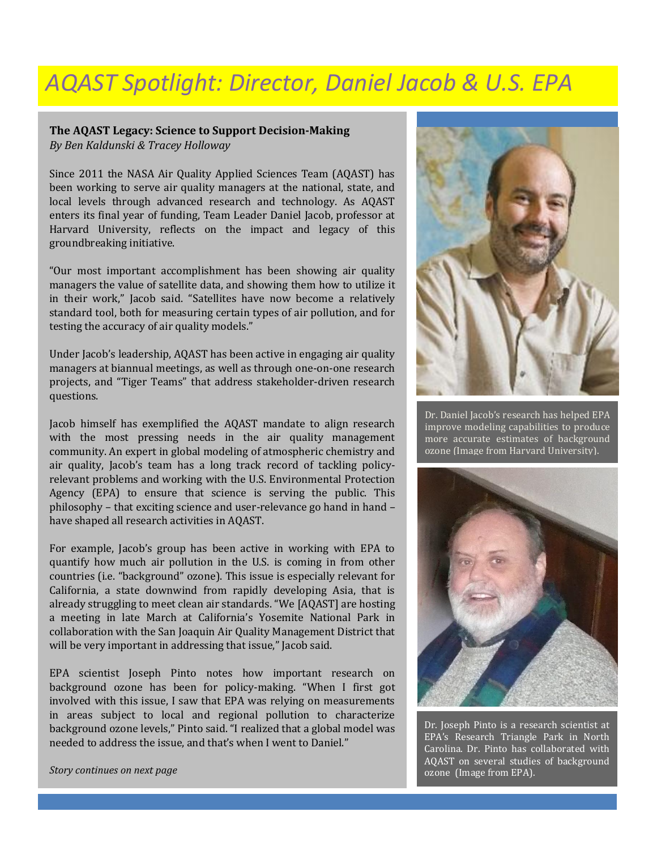## *AQAST Spotlight: Director, Daniel Jacob & U.S. EPA*

## **The AQAST Legacy: Science to Support Decision-Making** *By Ben Kaldunski & Tracey Holloway*

Since 2011 the NASA Air Quality Applied Sciences Team (AQAST) has been working to serve air quality managers at the national, state, and local levels through advanced research and technology. As AQAST enters its final year of funding, Team Leader Daniel Jacob, professor at Harvard University, reflects on the impact and legacy of this groundbreaking initiative.

"Our most important accomplishment has been showing air quality managers the value of satellite data, and showing them how to utilize it in their work," Jacob said. "Satellites have now become a relatively standard tool, both for measuring certain types of air pollution, and for testing the accuracy of air quality models."

Under Jacob's leadership, AQAST has been active in engaging air quality managers at biannual meetings, as well as through one-on-one research projects, and "Tiger Teams" that address stakeholder-driven research questions.

Jacob himself has exemplified the AQAST mandate to align research with the most pressing needs in the air quality management community. An expert in global modeling of atmospheric chemistry and air quality, Jacob's team has a long track record of tackling policyrelevant problems and working with the U.S. Environmental Protection Agency (EPA) to ensure that science is serving the public. This philosophy – that exciting science and user-relevance go hand in hand – have shaped all research activities in AQAST.

For example, Jacob's group has been active in working with EPA to quantify how much air pollution in the U.S. is coming in from other countries (i.e. "background" ozone). This issue is especially relevant for California, a state downwind from rapidly developing Asia, that is already struggling to meet clean air standards. "We [AQAST] are hosting a meeting in late March at California's Yosemite National Park in collaboration with the San Joaquin Air Quality Management District that will be very important in addressing that issue," Jacob said.

EPA scientist Joseph Pinto notes how important research on background ozone has been for policy-making. "When I first got involved with this issue, I saw that EPA was relying on measurements in areas subject to local and regional pollution to characterize background ozone levels," Pinto said. "I realized that a global model was needed to address the issue, and that's when I went to Daniel."



Dr. Daniel Jacob's research has helped EPA improve modeling capabilities to produce more accurate estimates of background ozone (Image from Harvard University).



Dr. Joseph Pinto is a research scientist at EPA's Research Triangle Park in North Carolina. Dr. Pinto has collaborated with AQAST on several studies of background ozone (Image from EPA).

*Story continues on next page*